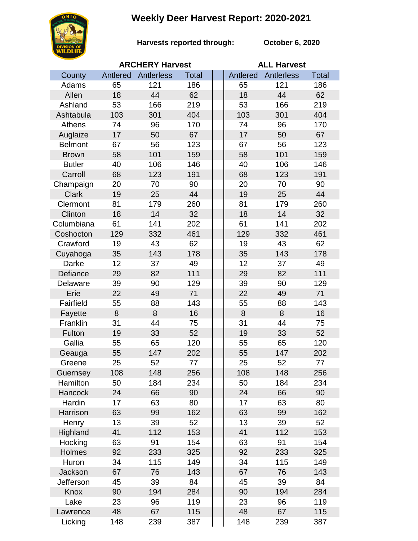## **Weekly Deer Harvest Report: 2020-2021**



**Harvests reported through: October 6, 2020**

|                |          | <b>ARCHERY Harvest</b> |              | <b>ALL Harvest</b> |            |              |  |
|----------------|----------|------------------------|--------------|--------------------|------------|--------------|--|
| County         | Antlered | Antlerless             | <b>Total</b> | Antlered           | Antlerless | <b>Total</b> |  |
| Adams          | 65       | 121                    | 186          | 65                 | 121        | 186          |  |
| Allen          | 18       | 44                     | 62           | 18                 | 44         | 62           |  |
| Ashland        | 53       | 166                    | 219          | 53                 | 166        | 219          |  |
| Ashtabula      | 103      | 301                    | 404          | 103                | 301        | 404          |  |
| Athens         | 74       | 96                     | 170          | 74                 | 96         | 170          |  |
| Auglaize       | 17       | 50                     | 67           | 17                 | 50         | 67           |  |
| <b>Belmont</b> | 67       | 56                     | 123          | 67                 | 56         | 123          |  |
| <b>Brown</b>   | 58       | 101                    | 159          | 58                 | 101        | 159          |  |
| <b>Butler</b>  | 40       | 106                    | 146          | 40                 | 106        | 146          |  |
| Carroll        | 68       | 123                    | 191          | 68                 | 123        | 191          |  |
| Champaign      | 20       | 70                     | 90           | 20                 | 70         | 90           |  |
| <b>Clark</b>   | 19       | 25                     | 44           | 19                 | 25         | 44           |  |
| Clermont       | 81       | 179                    | 260          | 81                 | 179        | 260          |  |
| Clinton        | 18       | 14                     | 32           | 18                 | 14         | 32           |  |
| Columbiana     | 61       | 141                    | 202          | 61                 | 141        | 202          |  |
| Coshocton      | 129      | 332                    | 461          | 129                | 332        | 461          |  |
| Crawford       | 19       | 43                     | 62           | 19                 | 43         | 62           |  |
| Cuyahoga       | 35       | 143                    | 178          | 35                 | 143        | 178          |  |
| Darke          | 12       | 37                     | 49           | 12                 | 37         | 49           |  |
| Defiance       | 29       | 82                     | 111          | 29                 | 82         | 111          |  |
| Delaware       | 39       | 90                     | 129          | 39                 | 90         | 129          |  |
| Erie           | 22       | 49                     | 71           | 22                 | 49         | 71           |  |
| Fairfield      | 55       | 88                     | 143          | 55                 | 88         | 143          |  |
| Fayette        | 8        | 8                      | 16           | 8                  | 8          | 16           |  |
| Franklin       | 31       | 44                     | 75           | 31                 | 44         | 75           |  |
| Fulton         | 19       | 33                     | 52           | 19                 | 33         | 52           |  |
| Gallia         | 55       | 65                     | 120          | 55                 | 65         | 120          |  |
| Geauga         | 55       | 147                    | 202          | 55                 | 147        | 202          |  |
| Greene         | 25       | 52                     | 77           | 25                 | 52         | 77           |  |
| Guernsey       | 108      | 148                    | 256          | 108                | 148        | 256          |  |
| Hamilton       | 50       | 184                    | 234          | 50                 | 184        | 234          |  |
| Hancock        | 24       | 66                     | 90           | 24                 | 66         | 90           |  |
| Hardin         | 17       | 63                     | 80           | 17                 | 63         | 80           |  |
| Harrison       | 63       | 99                     | 162          | 63                 | 99         | 162          |  |
| Henry          | 13       | 39                     | 52           | 13                 | 39         | 52           |  |
| Highland       | 41       | 112                    | 153          | 41                 | 112        | 153          |  |
| Hocking        | 63       | 91                     | 154          | 63                 | 91         | 154          |  |
| Holmes         | 92       | 233                    | 325          | 92                 | 233        | 325          |  |
| Huron          | 34       | 115                    | 149          | 34                 | 115        | 149          |  |
| Jackson        | 67       | 76                     | 143          | 67                 | 76         | 143          |  |
| Jefferson      | 45       | 39                     | 84           | 45                 | 39         | 84           |  |
| Knox           | 90       | 194                    | 284          | 90                 | 194        | 284          |  |
| Lake           | 23       | 96                     | 119          | 23                 | 96         | 119          |  |
| Lawrence       | 48       | 67                     | 115          | 48                 | 67         | 115          |  |
| Licking        | 148      | 239                    | 387          | 148                | 239        | 387          |  |